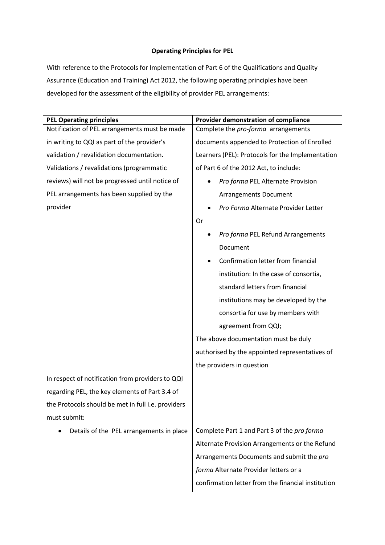## **Operating Principles for PEL**

With reference to the Protocols for Implementation of Part 6 of the Qualifications and Quality Assurance (Education and Training) Act 2012, the following operating principles have been developed for the assessment of the eligibility of provider PEL arrangements:

| <b>PEL Operating principles</b>                    | Provider demonstration of compliance               |
|----------------------------------------------------|----------------------------------------------------|
| Notification of PEL arrangements must be made      | Complete the pro-forma arrangements                |
| in writing to QQI as part of the provider's        | documents appended to Protection of Enrolled       |
| validation / revalidation documentation.           | Learners (PEL): Protocols for the Implementation   |
| Validations / revalidations (programmatic          | of Part 6 of the 2012 Act, to include:             |
| reviews) will not be progressed until notice of    | Pro forma PEL Alternate Provision                  |
| PEL arrangements has been supplied by the          | <b>Arrangements Document</b>                       |
| provider                                           | Pro Forma Alternate Provider Letter                |
|                                                    | Or                                                 |
|                                                    | Pro forma PEL Refund Arrangements                  |
|                                                    | Document                                           |
|                                                    | Confirmation letter from financial                 |
|                                                    | institution: In the case of consortia,             |
|                                                    | standard letters from financial                    |
|                                                    | institutions may be developed by the               |
|                                                    | consortia for use by members with                  |
|                                                    | agreement from QQI;                                |
|                                                    | The above documentation must be duly               |
|                                                    | authorised by the appointed representatives of     |
|                                                    | the providers in question                          |
| In respect of notification from providers to QQI   |                                                    |
| regarding PEL, the key elements of Part 3.4 of     |                                                    |
| the Protocols should be met in full i.e. providers |                                                    |
| must submit:                                       |                                                    |
| Details of the PEL arrangements in place           | Complete Part 1 and Part 3 of the pro forma        |
|                                                    | Alternate Provision Arrangements or the Refund     |
|                                                    | Arrangements Documents and submit the pro          |
|                                                    | forma Alternate Provider letters or a              |
|                                                    | confirmation letter from the financial institution |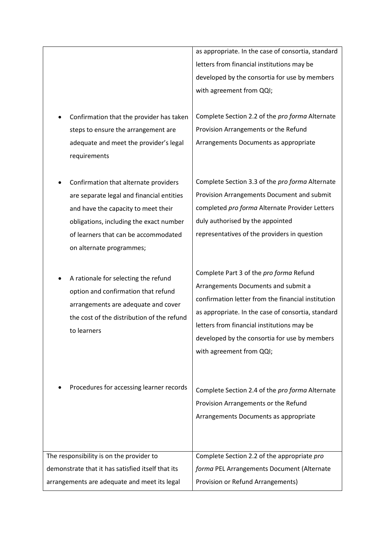as appropriate. In the case of consortia, standard letters from financial institutions may be developed by the consortia for use by members with agreement from QQI;

- Confirmation that the provider has taken steps to ensure the arrangement are adequate and meet the provider's legal requirements
- Confirmation that alternate providers are separate legal and financial entities and have the capacity to meet their obligations, including the exact number of learners that can be accommodated on alternate programmes;
- A rationale for selecting the refund option and confirmation that refund arrangements are adequate and cover the cost of the distribution of the refund to learners

Complete Section 2.2 of the *pro forma* Alternate Provision Arrangements or the Refund Arrangements Documents as appropriate

Complete Section 3.3 of the *pro forma* Alternate Provision Arrangements Document and submit completed *pro forma* Alternate Provider Letters duly authorised by the appointed representatives of the providers in question

Complete Part 3 of the *pro forma* Refund Arrangements Documents and submit a confirmation letter from the financial institution as appropriate. In the case of consortia, standard letters from financial institutions may be developed by the consortia for use by members with agreement from QQI;

 Procedures for accessing learner records Complete Section 2.4 of the *pro forma* Alternate Provision Arrangements or the Refund Arrangements Documents as appropriate The responsibility is on the provider to demonstrate that it has satisfied itself that its arrangements are adequate and meet its legal Complete Section 2.2 of the appropriate *pro forma* PEL Arrangements Document (Alternate Provision or Refund Arrangements)